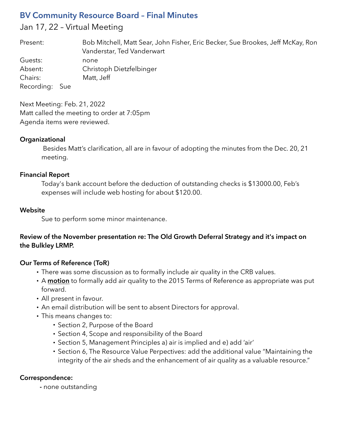# **BV Community Resource Board – Final Minutes**

# Jan 17, 22 – Virtual Meeting

| Present:       | Bob Mitchell, Matt Sear, John Fisher, Eric Becker, Sue Brookes, Jeff McKay, Ron<br>Vanderstar, Ted Vanderwart |
|----------------|---------------------------------------------------------------------------------------------------------------|
| Guests:        | none                                                                                                          |
| Absent:        | Christoph Dietzfelbinger                                                                                      |
| Chairs:        | Matt, Jeff                                                                                                    |
| Recording: Sue |                                                                                                               |

Next Meeting: Feb. 21, 2022 Matt called the meeting to order at 7:05pm Agenda items were reviewed.

#### **Organizational**

 Besides Matt's clarification, all are in favour of adopting the minutes from the Dec. 20, 21 meeting.

## **Financial Report**

Today's bank account before the deduction of outstanding checks is \$13000.00, Feb's expenses will include web hosting for about \$120.00.

## **Website**

Sue to perform some minor maintenance.

# **Review of the November presentation re: The Old Growth Deferral Strategy and it's impact on the Bulkley LRMP.**

# **Our Terms of Reference (ToR)**

- There was some discussion as to formally include air quality in the CRB values.
- A **motion** to formally add air quality to the 2015 Terms of Reference as appropriate was put forward.
- All present in favour.
- An email distribution will be sent to absent Directors for approval.
- This means changes to:
	- Section 2, Purpose of the Board
	- Section 4, Scope and responsibility of the Board
	- Section 5, Management Principles a) air is implied and e) add 'air'
	- Section 6, The Resource Value Perpectives: add the additional value "Maintaining the integrity of the air sheds and the enhancement of air quality as a valuable resource."

#### **Correspondence:**

**-** none outstanding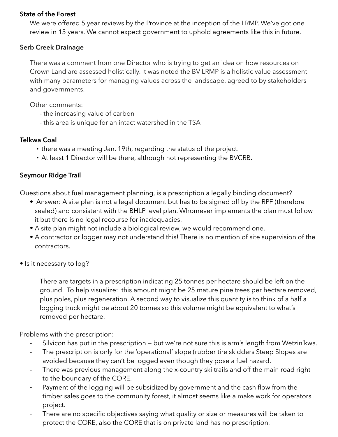#### **State of the Forest**

We were offered 5 year reviews by the Province at the inception of the LRMP. We've got one review in 15 years. We cannot expect government to uphold agreements like this in future.

## **Serb Creek Drainage**

There was a comment from one Director who is trying to get an idea on how resources on Crown Land are assessed holistically. It was noted the BV LRMP is a holistic value assessment with many parameters for managing values across the landscape, agreed to by stakeholders and governments.

Other comments:

- the increasing value of carbon
- this area is unique for an intact watershed in the TSA

# **Telkwa Coal**

- there was a meeting Jan. 19th, regarding the status of the project.
- At least 1 Director will be there, although not representing the BVCRB.

# **Seymour Ridge Trail**

Questions about fuel management planning, is a prescription a legally binding document?

- Answer: A site plan is not a legal document but has to be signed off by the RPF (therefore sealed) and consistent with the BHLP level plan. Whomever implements the plan must follow it but there is no legal recourse for inadequacies.
- A site plan might not include a biological review, we would recommend one.
- A contractor or logger may not understand this! There is no mention of site supervision of the contractors.
- Is it necessary to log?

There are targets in a prescription indicating 25 tonnes per hectare should be left on the ground. To help visualize: this amount might be 25 mature pine trees per hectare removed, plus poles, plus regeneration. A second way to visualize this quantity is to think of a half a logging truck might be about 20 tonnes so this volume might be equivalent to what's removed per hectare.

Problems with the prescription:

- Silvicon has put in the prescription but we're not sure this is arm's length from Wetzin'kwa.
- The prescription is only for the 'operational' slope (rubber tire skidders Steep Slopes are avoided because they can't be logged even though they pose a fuel hazard.
- There was previous management along the x-country ski trails and off the main road right to the boundary of the CORE.
- Payment of the logging will be subsidized by government and the cash flow from the timber sales goes to the community forest, it almost seems like a make work for operators project.
- There are no specific objectives saying what quality or size or measures will be taken to protect the CORE, also the CORE that is on private land has no prescription.